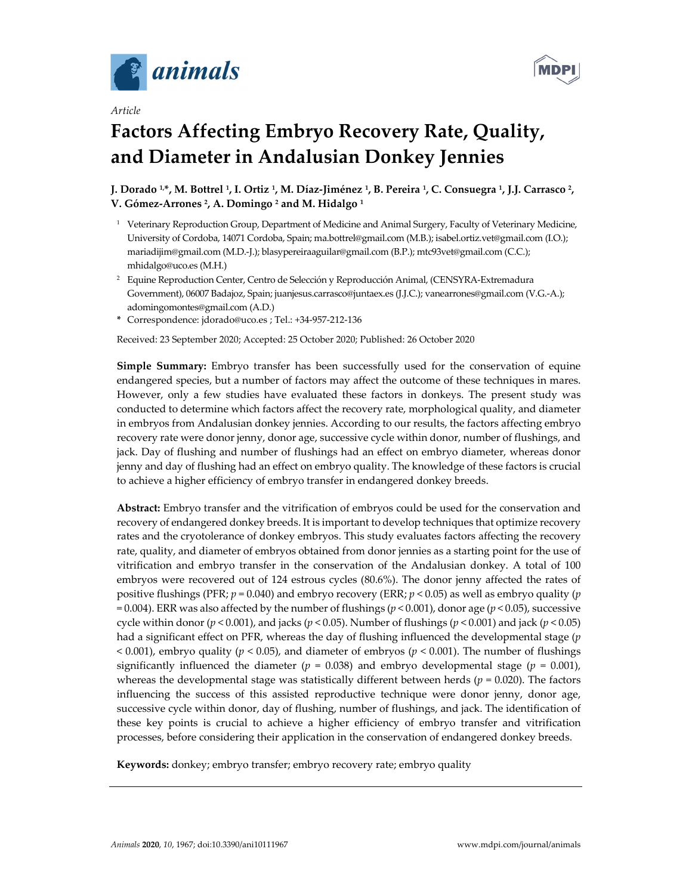



# *Article*

# **Factors Affecting Embryo Recovery Rate, Quality, and Diameter in Andalusian Donkey Jennies**

J. Dorado <sup>1,\*</sup>, M. Bottrel <sup>1</sup>, I. Ortiz <sup>1</sup>, M. Díaz-Jiménez <sup>1</sup>, B. Pereira <sup>1</sup>, C. Consuegra <sup>1</sup>, J.J. Carrasco <sup>2</sup>, **V. Gómez‐Arrones 2, A. Domingo <sup>2</sup> and M. Hidalgo <sup>1</sup>**

- <sup>1</sup> Veterinary Reproduction Group, Department of Medicine and Animal Surgery, Faculty of Veterinary Medicine, University of Cordoba, 14071 Cordoba, Spain; ma.bottrel@gmail.com (M.B.); isabel.ortiz.vet@gmail.com (I.O.); mariadijim@gmail.com (M.D.‐J.); blasypereiraaguilar@gmail.com (B.P.); mtc93vet@gmail.com (C.C.); mhidalgo@uco.es (M.H.)
- <sup>2</sup> Equine Reproduction Center, Centro de Selección y Reproducción Animal, (CENSYRA-Extremadura Government), 06007 Badajoz, Spain; juanjesus.carrasco@juntaex.es (J.J.C.); vanearrones@gmail.com (V.G.‐A.); adomingomontes@gmail.com (A.D.)
- **\*** Correspondence: jdorado@uco.es ; Tel.: +34‐957‐212‐136

Received: 23 September 2020; Accepted: 25 October 2020; Published: 26 October 2020

**Simple Summary:** Embryo transfer has been successfully used for the conservation of equine endangered species, but a number of factors may affect the outcome of these techniques in mares. However, only a few studies have evaluated these factors in donkeys. The present study was conducted to determine which factors affect the recovery rate, morphological quality, and diameter in embryos from Andalusian donkey jennies. According to our results, the factors affecting embryo recovery rate were donor jenny, donor age, successive cycle within donor, number of flushings, and jack. Day of flushing and number of flushings had an effect on embryo diameter, whereas donor jenny and day of flushing had an effect on embryo quality. The knowledge of these factors is crucial to achieve a higher efficiency of embryo transfer in endangered donkey breeds.

**Abstract:** Embryo transfer and the vitrification of embryos could be used for the conservation and recovery of endangered donkey breeds. It is important to develop techniques that optimize recovery rates and the cryotolerance of donkey embryos. This study evaluates factors affecting the recovery rate, quality, and diameter of embryos obtained from donor jennies as a starting point for the use of vitrification and embryo transfer in the conservation of the Andalusian donkey. A total of 100 embryos were recovered out of 124 estrous cycles (80.6%). The donor jenny affected the rates of positive flushings (PFR; *p* = 0.040) and embryo recovery (ERR; *p* < 0.05) as well as embryo quality (*p* = 0.004). ERR was also affected by the number of flushings (*p* < 0.001), donor age (*p* < 0.05), successive cycle within donor (*p* < 0.001), and jacks (*p* < 0.05). Number of flushings (*p* < 0.001) and jack (*p* < 0.05) had a significant effect on PFR, whereas the day of flushing influenced the developmental stage (*p* < 0.001), embryo quality (*p* < 0.05), and diameter of embryos (*p* < 0.001). The number of flushings significantly influenced the diameter ( $p = 0.038$ ) and embryo developmental stage ( $p = 0.001$ ), whereas the developmental stage was statistically different between herds ( $p = 0.020$ ). The factors influencing the success of this assisted reproductive technique were donor jenny, donor age, successive cycle within donor, day of flushing, number of flushings, and jack. The identification of these key points is crucial to achieve a higher efficiency of embryo transfer and vitrification processes, before considering their application in the conservation of endangered donkey breeds.

**Keywords:** donkey; embryo transfer; embryo recovery rate; embryo quality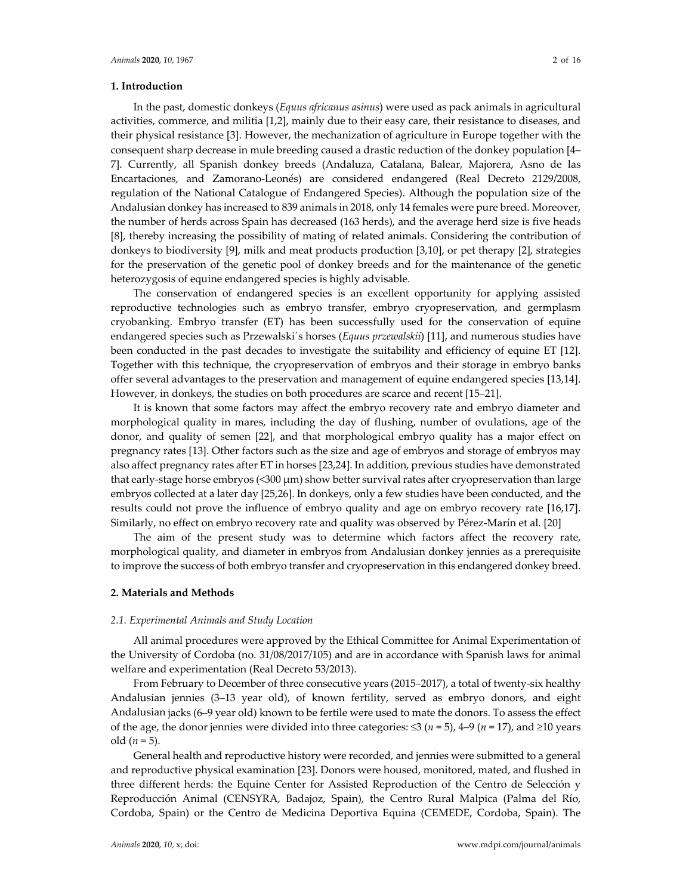## **1. Introduction**

In the past, domestic donkeys (*Equus africanus asinus*) were used as pack animals in agricultural activities, commerce, and militia [1,2], mainly due to their easy care, their resistance to diseases, and their physical resistance [3]. However, the mechanization of agriculture in Europe together with the consequent sharp decrease in mule breeding caused a drastic reduction of the donkey population [4– 7]. Currently, all Spanish donkey breeds (Andaluza, Catalana, Balear, Majorera, Asno de las Encartaciones, and Zamorano‐Leonés) are considered endangered (Real Decreto 2129/2008, regulation of the National Catalogue of Endangered Species). Although the population size of the Andalusian donkey has increased to 839 animals in 2018, only 14 females were pure breed. Moreover, the number of herds across Spain has decreased (163 herds), and the average herd size is five heads [8], thereby increasing the possibility of mating of related animals. Considering the contribution of donkeys to biodiversity [9], milk and meat products production [3,10], or pet therapy [2], strategies for the preservation of the genetic pool of donkey breeds and for the maintenance of the genetic heterozygosis of equine endangered species is highly advisable.

The conservation of endangered species is an excellent opportunity for applying assisted reproductive technologies such as embryo transfer, embryo cryopreservation, and germplasm cryobanking. Embryo transfer (ET) has been successfully used for the conservation of equine endangered species such as Przewalski´s horses (*Equus przewalskii*) [11], and numerous studies have been conducted in the past decades to investigate the suitability and efficiency of equine ET [12]. Together with this technique, the cryopreservation of embryos and their storage in embryo banks offer several advantages to the preservation and management of equine endangered species [13,14]. However, in donkeys, the studies on both procedures are scarce and recent [15–21].

It is known that some factors may affect the embryo recovery rate and embryo diameter and morphological quality in mares, including the day of flushing, number of ovulations, age of the donor, and quality of semen [22], and that morphological embryo quality has a major effect on pregnancy rates [13]. Other factors such as the size and age of embryos and storage of embryos may also affect pregnancy rates after ET in horses [23,24]. In addition, previous studies have demonstrated that early‐stage horse embryos (<300 μm) show better survival rates after cryopreservation than large embryos collected at a later day [25,26]. In donkeys, only a few studies have been conducted, and the results could not prove the influence of embryo quality and age on embryo recovery rate [16,17]. Similarly, no effect on embryo recovery rate and quality was observed by Pérez-Marín et al. [20]

The aim of the present study was to determine which factors affect the recovery rate, morphological quality, and diameter in embryos from Andalusian donkey jennies as a prerequisite to improve the success of both embryo transfer and cryopreservation in this endangered donkey breed.

#### **2. Materials and Methods**

## *2.1. Experimental Animals and Study Location*

All animal procedures were approved by the Ethical Committee for Animal Experimentation of the University of Cordoba (no. 31/08/2017/105) and are in accordance with Spanish laws for animal welfare and experimentation (Real Decreto 53/2013).

From February to December of three consecutive years (2015–2017), a total of twenty‐six healthy Andalusian jennies (3–13 year old), of known fertility, served as embryo donors, and eight Andalusian jacks (6–9 year old) known to be fertile were used to mate the donors. To assess the effect of the age, the donor jennies were divided into three categories:  $\leq 3$  ( $n = 5$ ), 4–9 ( $n = 17$ ), and  $\geq 10$  years old  $(n = 5)$ .

General health and reproductive history were recorded, and jennies were submitted to a general and reproductive physical examination [23]. Donors were housed, monitored, mated, and flushed in three different herds: the Equine Center for Assisted Reproduction of the Centro de Selección y Reproducción Animal (CENSYRA, Badajoz, Spain), the Centro Rural Malpica (Palma del Río, Cordoba, Spain) or the Centro de Medicina Deportiva Equina (CEMEDE, Cordoba, Spain). The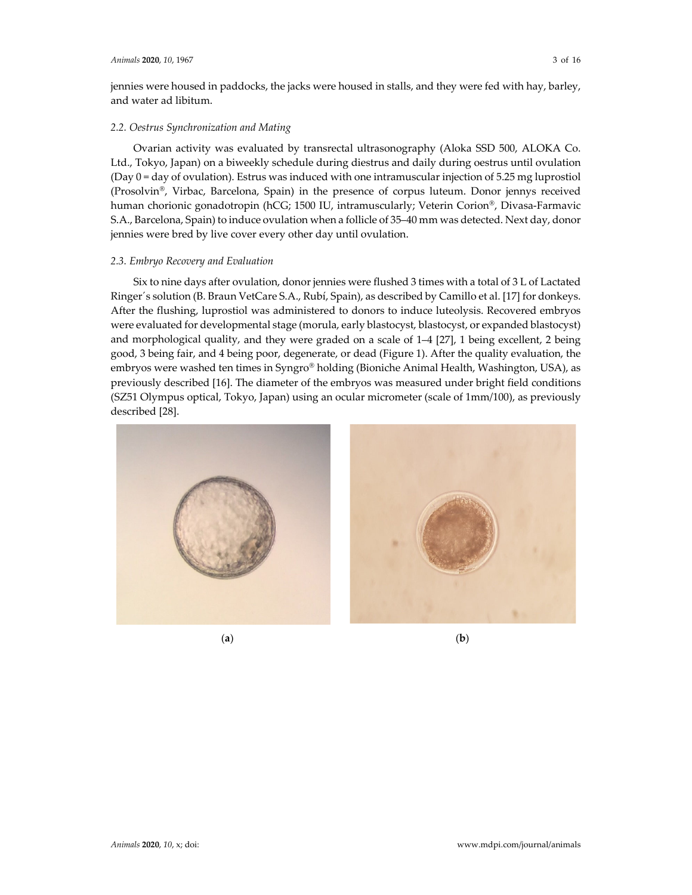jennies were housed in paddocks, the jacks were housed in stalls, and they were fed with hay, barley, and water ad libitum.

## *2.2. Oestrus Synchronization and Mating*

Ovarian activity was evaluated by transrectal ultrasonography (Aloka SSD 500, ALOKA Co. Ltd., Tokyo, Japan) on a biweekly schedule during diestrus and daily during oestrus until ovulation (Day 0 = day of ovulation). Estrus was induced with one intramuscular injection of 5.25 mg luprostiol (Prosolvin®, Virbac, Barcelona, Spain) in the presence of corpus luteum. Donor jennys received human chorionic gonadotropin (hCG; 1500 IU, intramuscularly; Veterin Corion®, Divasa-Farmavic S.A., Barcelona, Spain) to induce ovulation when a follicle of 35–40 mm was detected. Next day, donor jennies were bred by live cover every other day until ovulation.

#### *2.3. Embryo Recovery and Evaluation*

Six to nine days after ovulation, donor jennies were flushed 3 times with a total of 3 L of Lactated Ringer´s solution (B. Braun VetCare S.A., Rubí, Spain), as described by Camillo et al. [17] for donkeys. After the flushing, luprostiol was administered to donors to induce luteolysis. Recovered embryos were evaluated for developmental stage (morula, early blastocyst, blastocyst, or expanded blastocyst) and morphological quality, and they were graded on a scale of 1–4 [27], 1 being excellent, 2 being good, 3 being fair, and 4 being poor, degenerate, or dead (Figure 1). After the quality evaluation, the embryos were washed ten times in Syngro® holding (Bioniche Animal Health, Washington, USA), as previously described [16]. The diameter of the embryos was measured under bright field conditions (SZ51 Olympus optical, Tokyo, Japan) using an ocular micrometer (scale of 1mm/100), as previously described [28].



(**a**) (**b**)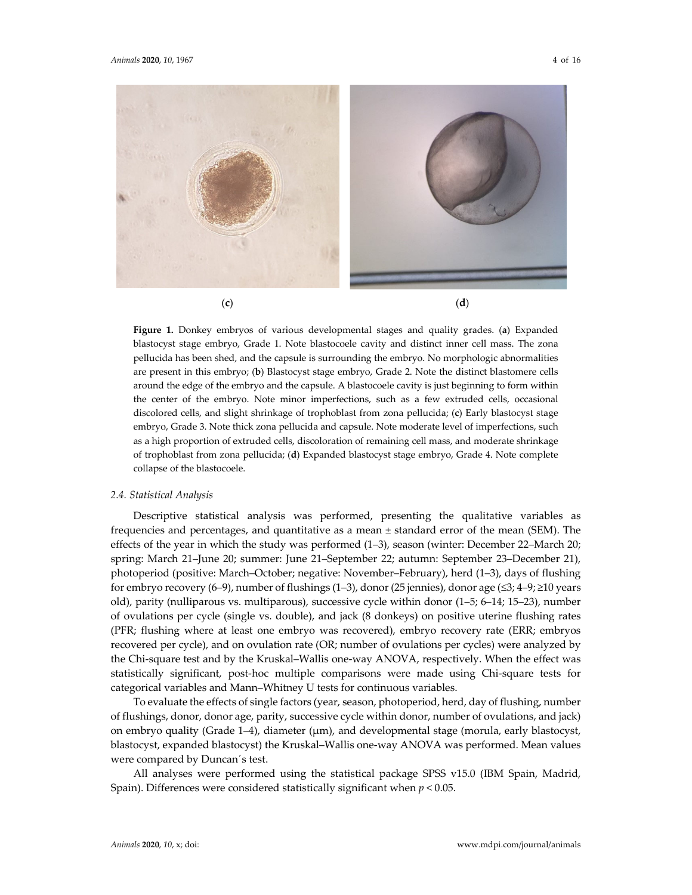

**Figure 1.** Donkey embryos of various developmental stages and quality grades. (**a**) Expanded blastocyst stage embryo, Grade 1. Note blastocoele cavity and distinct inner cell mass. The zona pellucida has been shed, and the capsule is surrounding the embryo. No morphologic abnormalities are present in this embryo; (**b**) Blastocyst stage embryo, Grade 2. Note the distinct blastomere cells around the edge of the embryo and the capsule. A blastocoele cavity is just beginning to form within the center of the embryo. Note minor imperfections, such as a few extruded cells, occasional discolored cells, and slight shrinkage of trophoblast from zona pellucida; (**c**) Early blastocyst stage embryo, Grade 3. Note thick zona pellucida and capsule. Note moderate level of imperfections, such as a high proportion of extruded cells, discoloration of remaining cell mass, and moderate shrinkage of trophoblast from zona pellucida; (**d**) Expanded blastocyst stage embryo, Grade 4. Note complete collapse of the blastocoele.

#### *2.4. Statistical Analysis*

Descriptive statistical analysis was performed, presenting the qualitative variables as frequencies and percentages, and quantitative as a mean  $\pm$  standard error of the mean (SEM). The effects of the year in which the study was performed (1–3), season (winter: December 22–March 20; spring: March 21–June 20; summer: June 21–September 22; autumn: September 23–December 21), photoperiod (positive: March–October; negative: November–February), herd (1–3), days of flushing for embryo recovery (6–9), number of flushings (1–3), donor (25 jennies), donor age ( $\leq$ 3; 4–9;  $\geq$ 10 years old), parity (nulliparous vs. multiparous), successive cycle within donor (1–5; 6–14; 15–23), number of ovulations per cycle (single vs. double), and jack (8 donkeys) on positive uterine flushing rates (PFR; flushing where at least one embryo was recovered), embryo recovery rate (ERR; embryos recovered per cycle), and on ovulation rate (OR; number of ovulations per cycles) were analyzed by the Chi-square test and by the Kruskal–Wallis one-way ANOVA, respectively. When the effect was statistically significant, post‐hoc multiple comparisons were made using Chi‐square tests for categorical variables and Mann–Whitney U tests for continuous variables.

To evaluate the effects of single factors (year, season, photoperiod, herd, day of flushing, number of flushings, donor, donor age, parity, successive cycle within donor, number of ovulations, and jack) on embryo quality (Grade 1–4), diameter (μm), and developmental stage (morula, early blastocyst, blastocyst, expanded blastocyst) the Kruskal–Wallis one‐way ANOVA was performed. Mean values were compared by Duncan´s test.

All analyses were performed using the statistical package SPSS v15.0 (IBM Spain, Madrid, Spain). Differences were considered statistically significant when *p* < 0.05.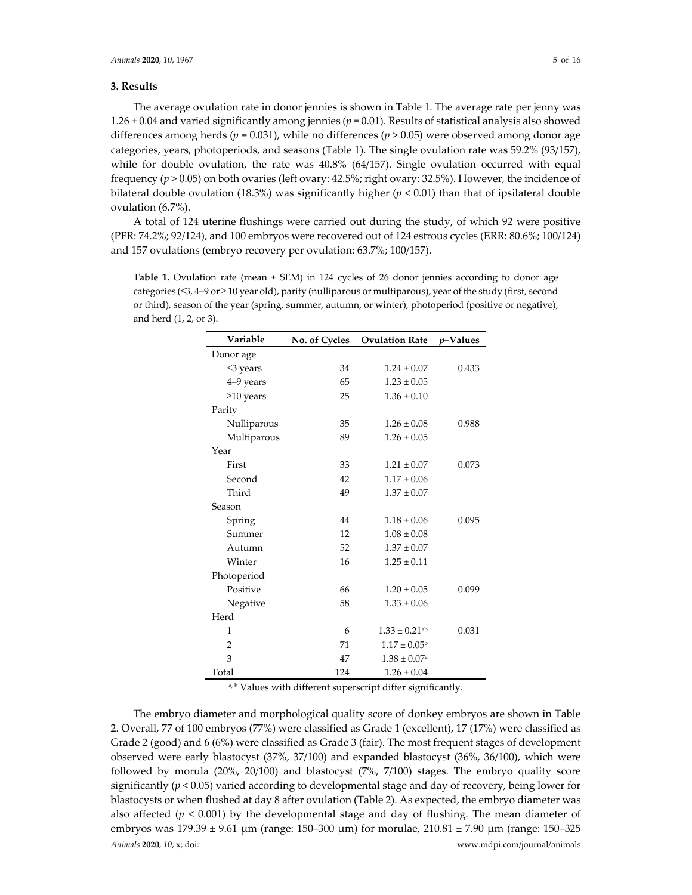## **3. Results**

The average ovulation rate in donor jennies is shown in Table 1. The average rate per jenny was 1.26 ± 0.04 and varied significantly among jennies (*p* = 0.01). Results of statistical analysis also showed differences among herds ( $p = 0.031$ ), while no differences ( $p > 0.05$ ) were observed among donor age categories, years, photoperiods, and seasons (Table 1). The single ovulation rate was 59.2% (93/157), while for double ovulation, the rate was 40.8% (64/157). Single ovulation occurred with equal frequency (*p* > 0.05) on both ovaries (left ovary: 42.5%; right ovary: 32.5%). However, the incidence of bilateral double ovulation (18.3%) was significantly higher ( $p < 0.01$ ) than that of ipsilateral double ovulation (6.7%).

A total of 124 uterine flushings were carried out during the study, of which 92 were positive (PFR: 74.2%; 92/124), and 100 embryos were recovered out of 124 estrous cycles (ERR: 80.6%; 100/124) and 157 ovulations (embryo recovery per ovulation: 63.7%; 100/157).

**Table 1.** Ovulation rate (mean  $\pm$  SEM) in 124 cycles of 26 donor jennies according to donor age categories (≤3, 4–9 or ≥ 10 year old), parity (nulliparous or multiparous), year of the study (first, second or third), season of the year (spring, summer, autumn, or winter), photoperiod (positive or negative), and herd (1, 2, or 3).

| Variable        | No. of Cycles | <b>Ovulation Rate</b>         | <i>v</i> -Values |
|-----------------|---------------|-------------------------------|------------------|
| Donor age       |               |                               |                  |
| $\leq$ 3 years  | 34            | $1.24 \pm 0.07$               | 0.433            |
| 4-9 years       | 65            | $1.23 \pm 0.05$               |                  |
| $\geq$ 10 years | 25            | $1.36 \pm 0.10$               |                  |
| Parity          |               |                               |                  |
| Nulliparous     | 35            | $1.26 \pm 0.08$               | 0.988            |
| Multiparous     | 89            | $1.26 \pm 0.05$               |                  |
| Year            |               |                               |                  |
| First           | 33            | $1.21 \pm 0.07$               | 0.073            |
| Second          | 42            | $1.17 \pm 0.06$               |                  |
| Third           | 49            | $1.37 \pm 0.07$               |                  |
| Season          |               |                               |                  |
| Spring          | 44            | $1.18 \pm 0.06$               | 0.095            |
| Summer          | 12            | $1.08 \pm 0.08$               |                  |
| Autumn          | 52            | $1.37 \pm 0.07$               |                  |
| Winter          | 16            | $1.25 \pm 0.11$               |                  |
| Photoperiod     |               |                               |                  |
| Positive        | 66            | $1.20 \pm 0.05$               | 0.099            |
| Negative        | 58            | $1.33 \pm 0.06$               |                  |
| Herd            |               |                               |                  |
| 1               | 6             | $1.33 \pm 0.21$ <sup>ab</sup> | 0.031            |
| $\overline{2}$  | 71            | $1.17 \pm 0.05^{\rm b}$       |                  |
| 3               | 47            | $1.38 \pm 0.07$ <sup>a</sup>  |                  |
| Total           | 124           | $1.26 \pm 0.04$               |                  |

a, b Values with different superscript differ significantly.

*Animals* **2020**, *10*, x; doi: www.mdpi.com/journal/animals The embryo diameter and morphological quality score of donkey embryos are shown in Table 2. Overall, 77 of 100 embryos (77%) were classified as Grade 1 (excellent), 17 (17%) were classified as Grade 2 (good) and 6 (6%) were classified as Grade 3 (fair). The most frequent stages of development observed were early blastocyst (37%, 37/100) and expanded blastocyst (36%, 36/100), which were followed by morula (20%, 20/100) and blastocyst (7%, 7/100) stages. The embryo quality score significantly ( $p$  < 0.05) varied according to developmental stage and day of recovery, being lower for blastocysts or when flushed at day 8 after ovulation (Table 2). As expected, the embryo diameter was also affected  $(p < 0.001)$  by the developmental stage and day of flushing. The mean diameter of embryos was 179.39 ± 9.61 μm (range: 150–300 μm) for morulae, 210.81 ± 7.90 μm (range: 150–325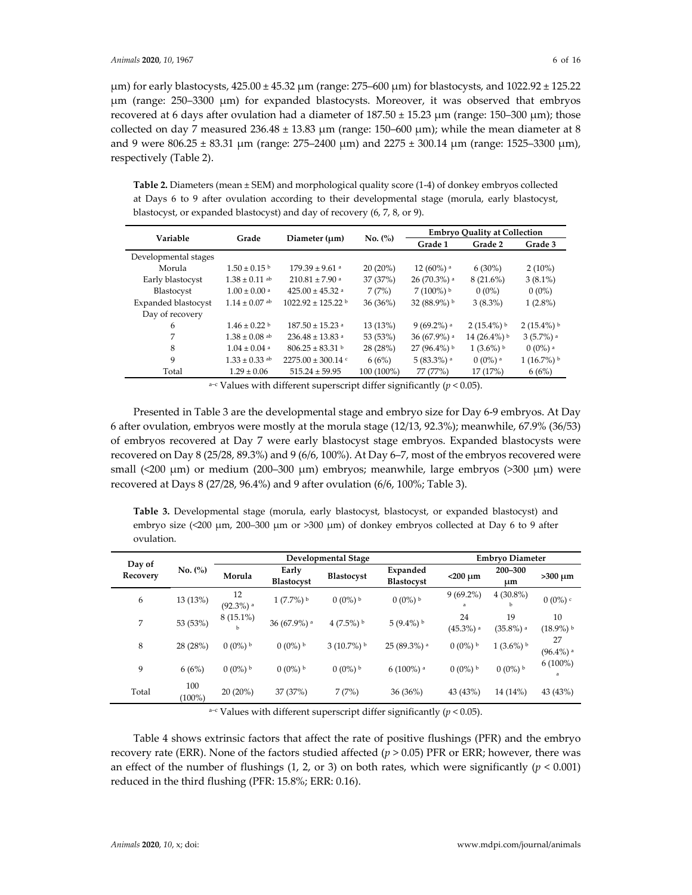μm) for early blastocysts, 425.00 ± 45.32 μm (range: 275–600 μm) for blastocysts, and 1022.92 ± 125.22 μm (range: 250–3300 μm) for expanded blastocysts. Moreover, it was observed that embryos recovered at 6 days after ovulation had a diameter of  $187.50 \pm 15.23$  μm (range: 150–300 μm); those collected on day 7 measured  $236.48 \pm 13.83 \mu m$  (range:  $150-600 \mu m$ ); while the mean diameter at 8 and 9 were  $806.25 \pm 83.31$  μm (range:  $275-2400$  μm) and  $2275 \pm 300.14$  μm (range: 1525–3300 μm), respectively (Table 2).

**Table 2.** Diameters (mean ± SEM) and morphological quality score (1‐4) of donkey embryos collected at Days 6 to 9 after ovulation according to their developmental stage (morula, early blastocyst, blastocyst, or expanded blastocyst) and day of recovery (6, 7, 8, or 9).

| Variable             | Grade                        |                                 | No. (%)    |                           | <b>Embryo Quality at Collection</b> |                         |
|----------------------|------------------------------|---------------------------------|------------|---------------------------|-------------------------------------|-------------------------|
|                      |                              | Diameter $(\mu m)$              |            | Grade 1                   | Grade 2                             | Grade 3                 |
| Developmental stages |                              |                                 |            |                           |                                     |                         |
| Morula               | $1.50 \pm 0.15$ b            | $179.39 \pm 9.61$ a             | $20(20\%)$ | $12(60\%)$ <sup>a</sup>   | $6(30\%)$                           | $2(10\%)$               |
| Early blastocyst     | $1.38 \pm 0.11$ ab           | $210.81 \pm 7.90$ <sup>a</sup>  | 37 (37%)   | $26(70.3%)$ <sup>a</sup>  | $8(21.6\%)$                         | $3(8.1\%)$              |
| Blastocyst           | $1.00 \pm 0.00$ <sup>a</sup> | $425.00 \pm 45.32$ <sup>a</sup> | 7(7%)      | $7(100\%)$ <sup>b</sup>   | $0(0\%)$                            | $0(0\%)$                |
| Expanded blastocyst  | $1.14 \pm 0.07$ ab           | $1022.92 \pm 125.22$ b          | 36(36%)    | 32 (88.9%) b              | $3(8.3\%)$                          | $1(2.8\%)$              |
| Day of recovery      |                              |                                 |            |                           |                                     |                         |
| 6                    | $1.46 \pm 0.22$ b            | $187.50 \pm 15.23$ <sup>a</sup> | 13 (13%)   | $9(69.2\%)$ <sup>a</sup>  | $2(15.4\%)$                         | $2(15.4\%)$             |
| 7                    | $1.38 \pm 0.08$ ab           | $236.48 \pm 13.83$ <sup>a</sup> | 53 (53%)   | $36(67.9\%)$ <sup>a</sup> | $14(26.4\%)$                        | $3(5.7\%)$ <sup>a</sup> |
| 8                    | $1.04 \pm 0.04$ <sup>a</sup> | $806.25 \pm 83.31$ b            | 28 (28%)   | $27(96.4\%)$              | $1(3.6\%)$                          | $0(0\%)$ <sup>a</sup>   |
| 9                    | $1.33 \pm 0.33$ ab           | $2275.00 \pm 300.14$ c          | 6(6%)      | $5(83.3%)$ <sup>a</sup>   | $0(0\%)$ <sup>a</sup>               | $1(16.7\%)$             |
| Total                | $1.29 \pm 0.06$              | $515.24 \pm 59.95$              | 100 (100%) | 77 (77%)                  | 17 (17%)                            | 6(6%)                   |

a-c Values with different superscript differ significantly ( $p < 0.05$ ).

Presented in Table 3 are the developmental stage and embryo size for Day 6‐9 embryos. At Day 6 after ovulation, embryos were mostly at the morula stage (12/13, 92.3%); meanwhile, 67.9% (36/53) of embryos recovered at Day 7 were early blastocyst stage embryos. Expanded blastocysts were recovered on Day 8 (25/28, 89.3%) and 9 (6/6, 100%). At Day 6–7, most of the embryos recovered were small ( $\langle 200 \mu m \rangle$  or medium (200–300  $\mu m$ ) embryos; meanwhile, large embryos ( $>300 \mu m$ ) were recovered at Days 8 (27/28, 96.4%) and 9 after ovulation (6/6, 100%; Table 3).

**Table 3.** Developmental stage (morula, early blastocyst, blastocyst, or expanded blastocyst) and embryo size (<200 μm, 200-300 μm or >300 μm) of donkey embryos collected at Day 6 to 9 after ovulation.

| Day of<br>Recovery |                 |                               | <b>Embryo Diameter</b><br>Developmental Stage |                       |                               |                               |                               |                               |
|--------------------|-----------------|-------------------------------|-----------------------------------------------|-----------------------|-------------------------------|-------------------------------|-------------------------------|-------------------------------|
|                    | No. (%)         | Morula                        | Early<br><b>Blastocyst</b>                    | Blastocyst            | Expanded<br><b>Blastocyst</b> | $<$ 200 $\mu$ m               | $200 - 300$<br>um             | $>300 \mu m$                  |
| 6                  | 13 (13%)        | 12<br>$(92.3\%)$ <sup>a</sup> | $1(7.7\%)$ <sup>b</sup>                       | $0(0\%)$ <sup>b</sup> | $0(0\%)$ <sup>b</sup>         | $9(69.2\%)$<br>a              | $4(30.8\%)$<br><b>b</b>       | $0(0\%)$                      |
| 7                  | 53 (53%)        | $8(15.1\%)$                   | 36 (67.9%) a                                  | $4(7.5\%)$            | $5(9.4\%)$                    | 24<br>$(45.3\%)$ <sup>a</sup> | 19<br>$(35.8\%)$ <sup>a</sup> | 10<br>$(18.9\%)$ <sup>b</sup> |
| 8                  | 28 (28%)        | $0(0\%)$ <sup>b</sup>         | $0(0\%)$ <sup>b</sup>                         | $3(10.7\%)$           | $25(89.3%)$ a                 | $0(0\%)$ <sup>b</sup>         | $1(3.6\%)$ <sup>b</sup>       | 27<br>$(96.4\%)$ <sup>a</sup> |
| 9                  | 6(6%)           | $0(0\%)$ <sup>b</sup>         | $0(0\%)$ <sup>b</sup>                         | $0(0\%)$ <sup>b</sup> | $6(100\%)$ <sup>a</sup>       | $0(0\%)$ <sup>b</sup>         | $0(0\%)$ <sup>b</sup>         | $6(100\%)$<br>a               |
| Total              | 100<br>$100\%)$ | $20(20\%)$                    | 37 (37%)                                      | 7(7%)                 | 36(36%)                       | 43 (43%)                      | 14 (14%)                      | 43 (43%)                      |

a<sup>-c</sup> Values with different superscript differ significantly ( $p$  < 0.05).

Table 4 shows extrinsic factors that affect the rate of positive flushings (PFR) and the embryo recovery rate (ERR). None of the factors studied affected ( $p > 0.05$ ) PFR or ERR; however, there was an effect of the number of flushings  $(1, 2, \text{ or } 3)$  on both rates, which were significantly  $(p < 0.001)$ reduced in the third flushing (PFR: 15.8%; ERR: 0.16).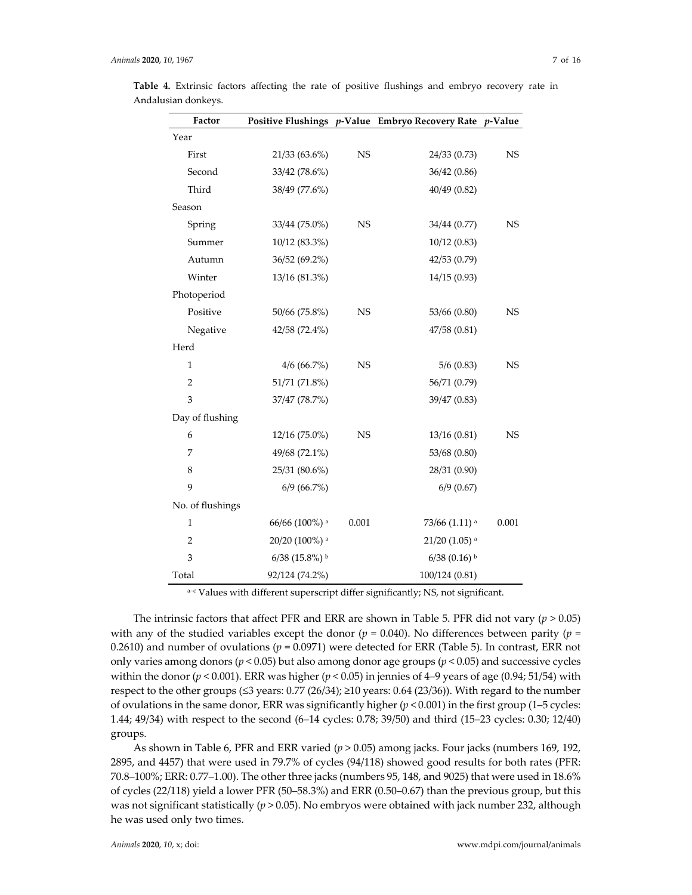| Factor           |                           |             | Positive Flushings p-Value Embryo Recovery Rate p-Value |           |
|------------------|---------------------------|-------------|---------------------------------------------------------|-----------|
| Year             |                           |             |                                                         |           |
| First            | 21/33 (63.6%)             | $_{\rm NS}$ | 24/33 (0.73)                                            | <b>NS</b> |
| Second           | 33/42 (78.6%)             |             | 36/42 (0.86)                                            |           |
| Third            | 38/49 (77.6%)             |             | 40/49 (0.82)                                            |           |
| Season           |                           |             |                                                         |           |
| Spring           | 33/44 (75.0%)             | <b>NS</b>   | 34/44 (0.77)                                            | <b>NS</b> |
| Summer           | 10/12 (83.3%)             |             | 10/12(0.83)                                             |           |
| Autumn           | 36/52 (69.2%)             |             | 42/53 (0.79)                                            |           |
| Winter           | 13/16 (81.3%)             |             | 14/15 (0.93)                                            |           |
| Photoperiod      |                           |             |                                                         |           |
| Positive         | 50/66 (75.8%)             | <b>NS</b>   | 53/66 (0.80)                                            | <b>NS</b> |
| Negative         | 42/58 (72.4%)             |             | 47/58 (0.81)                                            |           |
| Herd             |                           |             |                                                         |           |
| $\mathbf{1}$     | 4/6(66.7%)                | <b>NS</b>   | 5/6(0.83)                                               | <b>NS</b> |
| $\overline{2}$   | 51/71 (71.8%)             |             | 56/71 (0.79)                                            |           |
| 3                | 37/47 (78.7%)             |             | 39/47 (0.83)                                            |           |
| Day of flushing  |                           |             |                                                         |           |
| 6                | 12/16 (75.0%)             | <b>NS</b>   | 13/16 (0.81)                                            | <b>NS</b> |
| 7                | 49/68 (72.1%)             |             | 53/68 (0.80)                                            |           |
| 8                | 25/31 (80.6%)             |             | 28/31 (0.90)                                            |           |
| 9                | $6/9$ (66.7%)             |             | $6/9$ (0.67)                                            |           |
| No. of flushings |                           |             |                                                         |           |
| 1                | 66/66 (100%) <sup>a</sup> | 0.001       | 73/66 (1.11) <sup>a</sup>                               | 0.001     |
| $\overline{2}$   | 20/20 (100%) <sup>a</sup> |             | $21/20$ (1.05) <sup>a</sup>                             |           |
| 3                | $6/38$ (15.8%) b          |             | $6/38$ (0.16) b                                         |           |
| Total            | 92/124 (74.2%)            |             | 100/124 (0.81)                                          |           |

**Table 4.** Extrinsic factors affecting the rate of positive flushings and embryo recovery rate in Andalusian donkeys.

a-c Values with different superscript differ significantly; NS, not significant.

The intrinsic factors that affect PFR and ERR are shown in Table 5. PFR did not vary ( $p > 0.05$ ) with any of the studied variables except the donor ( $p = 0.040$ ). No differences between parity ( $p =$ 0.2610) and number of ovulations ( $p = 0.0971$ ) were detected for ERR (Table 5). In contrast, ERR not only varies among donors ( $p$  < 0.05) but also among donor age groups ( $p$  < 0.05) and successive cycles within the donor ( $p < 0.001$ ). ERR was higher ( $p < 0.05$ ) in jennies of 4–9 years of age (0.94; 51/54) with respect to the other groups ( $\leq$ 3 years: 0.77 (26/34); ≥10 years: 0.64 (23/36)). With regard to the number of ovulations in the same donor, ERR was significantly higher  $(p < 0.001)$  in the first group (1–5 cycles: 1.44; 49/34) with respect to the second (6–14 cycles: 0.78; 39/50) and third (15–23 cycles: 0.30; 12/40) groups.

As shown in Table 6, PFR and ERR varied (*p* > 0.05) among jacks. Four jacks (numbers 169, 192, 2895, and 4457) that were used in 79.7% of cycles (94/118) showed good results for both rates (PFR: 70.8–100%; ERR: 0.77–1.00). The other three jacks (numbers 95, 148, and 9025) that were used in 18.6% of cycles (22/118) yield a lower PFR (50–58.3%) and ERR (0.50–0.67) than the previous group, but this was not significant statistically ( $p > 0.05$ ). No embryos were obtained with jack number 232, although he was used only two times.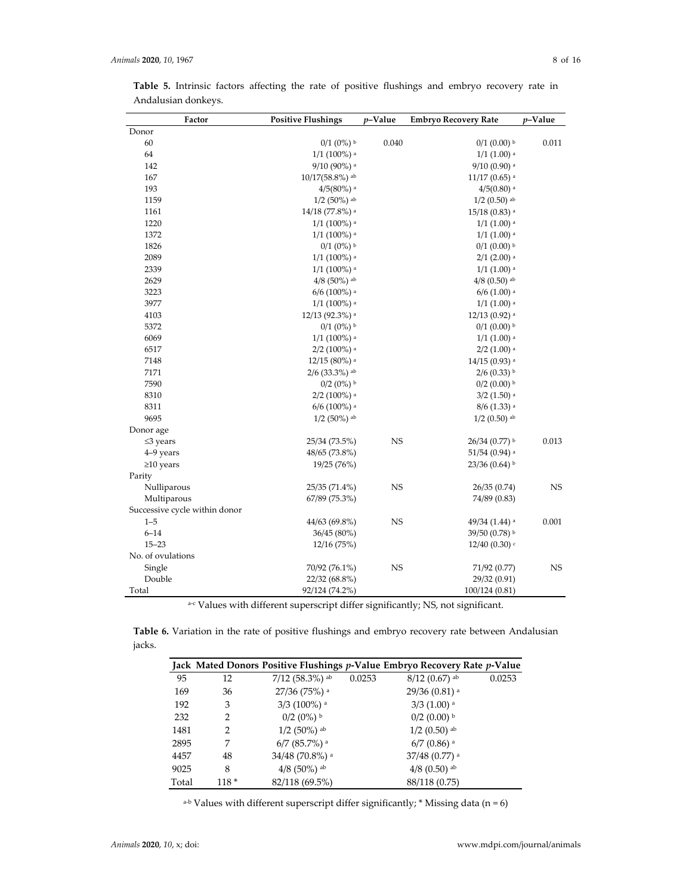| Factor                        | <b>Positive Flushings</b> | p-Value   | <b>Embryo Recovery Rate</b> | $p$ -Value |
|-------------------------------|---------------------------|-----------|-----------------------------|------------|
| Donor                         |                           |           |                             |            |
| 60                            | $0/1$ $(0\%)$ b           | 0.040     | $0/1$ (0.00) b              | 0.011      |
| 64                            | $1/1$ (100%) <sup>a</sup> |           | $1/1$ (1.00) a              |            |
| 142                           | 9/10 (90%) a              |           | $9/10$ (0.90) a             |            |
| 167                           | $10/17(58.8\%)$ ab        |           | $11/17$ (0.65) a            |            |
| 193                           | $4/5(80%)$ <sup>a</sup>   |           | $4/5(0.80)$ <sup>a</sup>    |            |
| 1159                          | $1/2$ (50%) ab            |           | $1/2$ (0.50) ab             |            |
| 1161                          | 14/18 (77.8%) a           |           | $15/18$ (0.83) a            |            |
| 1220                          | $1/1$ (100%) <sup>a</sup> |           | $1/1$ $(1.00)$ <sup>a</sup> |            |
| 1372                          | $1/1$ (100%) <sup>a</sup> |           | $1/1$ (1.00) a              |            |
| 1826                          | $0/1$ $(0%)$ <sup>b</sup> |           | $0/1$ (0.00) b              |            |
| 2089                          | $1/1$ (100%) <sup>a</sup> |           | $2/1$ (2.00) a              |            |
| 2339                          | $1/1$ (100%) <sup>a</sup> |           | $1/1$ $(1.00)$ <sup>a</sup> |            |
| 2629                          | $4/8$ (50%) ab            |           | $4/8$ (0.50) ab             |            |
| 3223                          | $6/6$ (100%) a            |           | $6/6$ (1.00) a              |            |
| 3977                          | $1/1$ (100%) a            |           | $1/1$ $(1.00)$ <sup>a</sup> |            |
| 4103                          | 12/13 (92.3%) a           |           | 12/13 (0.92) <sup>a</sup>   |            |
| 5372                          | $0/1$ $(0%)$ <sup>b</sup> |           | $0/1$ (0.00) b              |            |
| 6069                          | $1/1$ (100%) <sup>a</sup> |           | $1/1$ $(1.00)$ <sup>a</sup> |            |
| 6517                          | $2/2$ (100%) <sup>a</sup> |           | $2/2$ (1.00) a              |            |
| 7148                          | $12/15(80%)$ <sup>a</sup> |           | $14/15$ (0.93) <sup>a</sup> |            |
| 7171                          | $2/6$ (33.3%) ab          |           | $2/6$ (0.33) b              |            |
| 7590                          | $0/2$ (0%) b              |           | $0/2$ (0.00) b              |            |
| 8310                          | $2/2$ (100%) a            |           | $3/2$ (1.50) a              |            |
| 8311                          | $6/6$ (100%) a            |           | $8/6$ (1.33) a              |            |
| 9695                          | $1/2$ (50%) ab            |           | $1/2$ (0.50) ab             |            |
| Donor age                     |                           |           |                             |            |
| $\leq$ 3 years                | 25/34 (73.5%)             | <b>NS</b> | 26/34 (0.77) b              | 0.013      |
| 4-9 years                     | 48/65 (73.8%)             |           | $51/54$ (0.94) <sup>a</sup> |            |
| $\geq$ 10 years               | 19/25 (76%)               |           | $23/36$ (0.64) b            |            |
| Parity                        |                           |           |                             |            |
| Nulliparous                   | 25/35 (71.4%)             | <b>NS</b> | 26/35(0.74)                 | <b>NS</b>  |
| Multiparous                   | 67/89 (75.3%)             |           | 74/89 (0.83)                |            |
| Successive cycle within donor |                           |           |                             |            |
| $1 - 5$                       | 44/63 (69.8%)             | <b>NS</b> | $49/34$ (1.44) <sup>a</sup> | 0.001      |
| $6 - 14$                      | 36/45 (80%)               |           | 39/50 (0.78) b              |            |
| $15 - 23$                     | 12/16 (75%)               |           | $12/40$ (0.30) $\circ$      |            |
| No. of ovulations             |                           |           |                             |            |
| Single                        | 70/92 (76.1%)             | <b>NS</b> | 71/92 (0.77)                | <b>NS</b>  |
| Double                        | 22/32 (68.8%)             |           | 29/32 (0.91)                |            |
| Total                         | 92/124 (74.2%)            |           | 100/124(0.81)               |            |

**Table 5.** Intrinsic factors affecting the rate of positive flushings and embryo recovery rate in Andalusian donkeys.

a-c Values with different superscript differ significantly; NS, not significant.

**Table 6.** Variation in the rate of positive flushings and embryo recovery rate between Andalusian jacks.

|       |        |                            |        | Jack Mated Donors Positive Flushings p-Value Embryo Recovery Rate p-Value |        |
|-------|--------|----------------------------|--------|---------------------------------------------------------------------------|--------|
| 95    | 12     | $7/12$ (58.3%) ab          | 0.0253 | $8/12$ (0.67) ab                                                          | 0.0253 |
| 169   | 36     | 27/36 (75%) <sup>a</sup>   |        | $29/36$ (0.81) <sup>a</sup>                                               |        |
| 192   | 3      | $3/3$ (100%) a             |        | $3/3$ (1.00) a                                                            |        |
| 232   | 2      | $0/2$ (0%) $\rm{^{b}}$     |        | $0/2$ (0.00) $\rm{^{b}}$                                                  |        |
| 1481  | 2      | $1/2$ (50%) ab             |        | $1/2$ (0.50) ab                                                           |        |
| 2895  | 7      | $6/7$ (85.7%) <sup>a</sup> |        | $6/7$ (0.86) <sup>a</sup>                                                 |        |
| 4457  | 48     | 34/48 (70.8%) a            |        | $37/48$ (0.77) <sup>a</sup>                                               |        |
| 9025  | 8      | $4/8$ (50%) ab             |        | $4/8$ (0.50) ab                                                           |        |
| Total | $118*$ | 82/118 (69.5%)             |        | 88/118 (0.75)                                                             |        |

<sup>a-b</sup> Values with different superscript differ significantly;  $*$  Missing data (n = 6)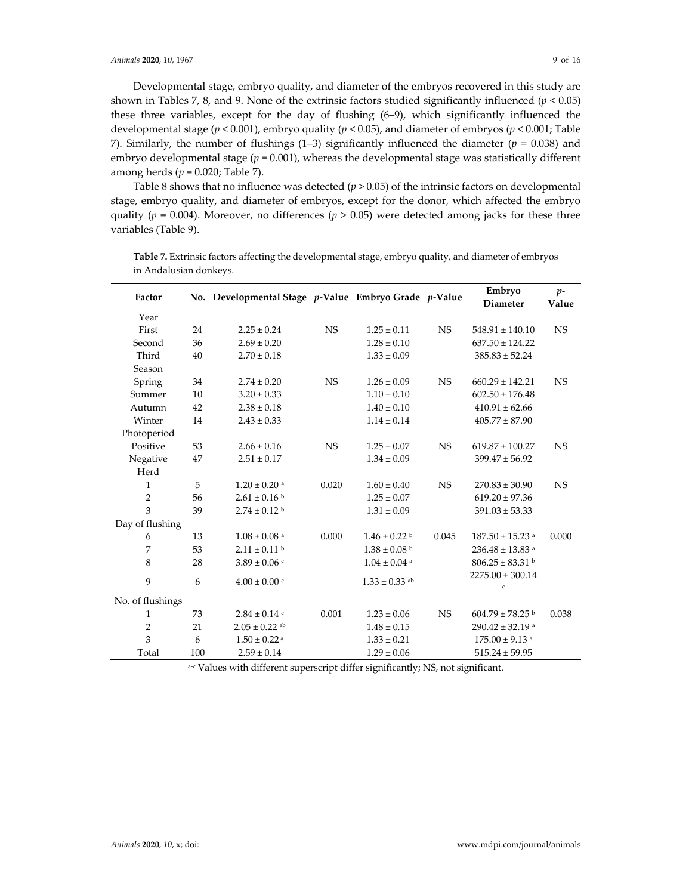Developmental stage, embryo quality, and diameter of the embryos recovered in this study are shown in Tables 7, 8, and 9. None of the extrinsic factors studied significantly influenced (*p* < 0.05) these three variables, except for the day of flushing (6–9), which significantly influenced the developmental stage (*p* < 0.001), embryo quality (*p* < 0.05), and diameter of embryos (*p* < 0.001; Table 7). Similarly, the number of flushings (1–3) significantly influenced the diameter ( $p = 0.038$ ) and embryo developmental stage ( $p = 0.001$ ), whereas the developmental stage was statistically different among herds (*p* = 0.020; Table 7).

Table 8 shows that no influence was detected  $(p > 0.05)$  of the intrinsic factors on developmental stage, embryo quality, and diameter of embryos, except for the donor, which affected the embryo quality ( $p = 0.004$ ). Moreover, no differences ( $p > 0.05$ ) were detected among jacks for these three variables (Table 9).

| Factor           |     | No. Developmental Stage p-Value Embryo Grade p-Value |           |                               |           | Embryo<br><b>Diameter</b>            | $p-$<br>Value |
|------------------|-----|------------------------------------------------------|-----------|-------------------------------|-----------|--------------------------------------|---------------|
| Year             |     |                                                      |           |                               |           |                                      |               |
| First            | 24  | $2.25 \pm 0.24$                                      | <b>NS</b> | $1.25 \pm 0.11$               | <b>NS</b> | $548.91 \pm 140.10$                  | <b>NS</b>     |
| Second           | 36  | $2.69 \pm 0.20$                                      |           | $1.28 \pm 0.10$               |           | $637.50 \pm 124.22$                  |               |
| Third            | 40  | $2.70 \pm 0.18$                                      |           | $1.33 \pm 0.09$               |           | $385.83 \pm 52.24$                   |               |
| Season           |     |                                                      |           |                               |           |                                      |               |
| Spring           | 34  | $2.74 \pm 0.20$                                      | <b>NS</b> | $1.26 \pm 0.09$               | <b>NS</b> | $660.29 \pm 142.21$                  | <b>NS</b>     |
| Summer           | 10  | $3.20 \pm 0.33$                                      |           | $1.10 \pm 0.10$               |           | $602.50 \pm 176.48$                  |               |
| Autumn           | 42  | $2.38 \pm 0.18$                                      |           | $1.40 \pm 0.10$               |           | $410.91 \pm 62.66$                   |               |
| Winter           | 14  | $2.43 \pm 0.33$                                      |           | $1.14 \pm 0.14$               |           | $405.77 \pm 87.90$                   |               |
| Photoperiod      |     |                                                      |           |                               |           |                                      |               |
| Positive         | 53  | $2.66 \pm 0.16$                                      | <b>NS</b> | $1.25 \pm 0.07$               | <b>NS</b> | $619.87 \pm 100.27$                  | <b>NS</b>     |
| Negative         | 47  | $2.51 \pm 0.17$                                      |           | $1.34 \pm 0.09$               |           | $399.47 \pm 56.92$                   |               |
| Herd             |     |                                                      |           |                               |           |                                      |               |
| $\mathbf{1}$     | 5   | $1.20 \pm 0.20$ <sup>a</sup>                         | 0.020     | $1.60 \pm 0.40$               | <b>NS</b> | $270.83 \pm 30.90$                   | <b>NS</b>     |
| $\overline{2}$   | 56  | $2.61 \pm 0.16^{\text{ b}}$                          |           | $1.25 \pm 0.07$               |           | $619.20 \pm 97.36$                   |               |
| 3                | 39  | $2.74 \pm 0.12$ b                                    |           | $1.31 \pm 0.09$               |           | $391.03 \pm 53.33$                   |               |
| Day of flushing  |     |                                                      |           |                               |           |                                      |               |
| 6                | 13  | $1.08 \pm 0.08$ <sup>a</sup>                         | 0.000     | $1.46 \pm 0.22$ b             | 0.045     | $187.50 \pm 15.23$ <sup>a</sup>      | 0.000         |
| 7                | 53  | $2.11 \pm 0.11$ b                                    |           | $1.38 \pm 0.08$ b             |           | $236.48 \pm 13.83$ <sup>a</sup>      |               |
| 8                | 28  | $3.89 \pm 0.06$ c                                    |           | $1.04 \pm 0.04$ <sup>a</sup>  |           | $806.25 \pm 83.31$ b                 |               |
| 9                | 6   | $4.00 \pm 0.00$ c                                    |           | $1.33 \pm 0.33$ <sup>ab</sup> |           | $2275.00 \pm 300.14$<br>$\mathsf{c}$ |               |
| No. of flushings |     |                                                      |           |                               |           |                                      |               |
| 1                | 73  | $2.84 \pm 0.14$ c                                    | 0.001     | $1.23 \pm 0.06$               | <b>NS</b> | $604.79 \pm 78.25$ b                 | 0.038         |
| $\overline{2}$   | 21  | $2.05 \pm 0.22$ ab                                   |           | $1.48 \pm 0.15$               |           | $290.42 \pm 32.19$ <sup>a</sup>      |               |
| 3                | 6   | $1.50 \pm 0.22$ <sup>a</sup>                         |           | $1.33 \pm 0.21$               |           | $175.00 \pm 9.13$ <sup>a</sup>       |               |
| Total            | 100 | $2.59 \pm 0.14$                                      |           | $1.29 \pm 0.06$               |           | $515.24 \pm 59.95$                   |               |

**Table 7.** Extrinsic factors affecting the developmental stage, embryo quality, and diameter of embryos in Andalusian donkeys.

a-c Values with different superscript differ significantly; NS, not significant.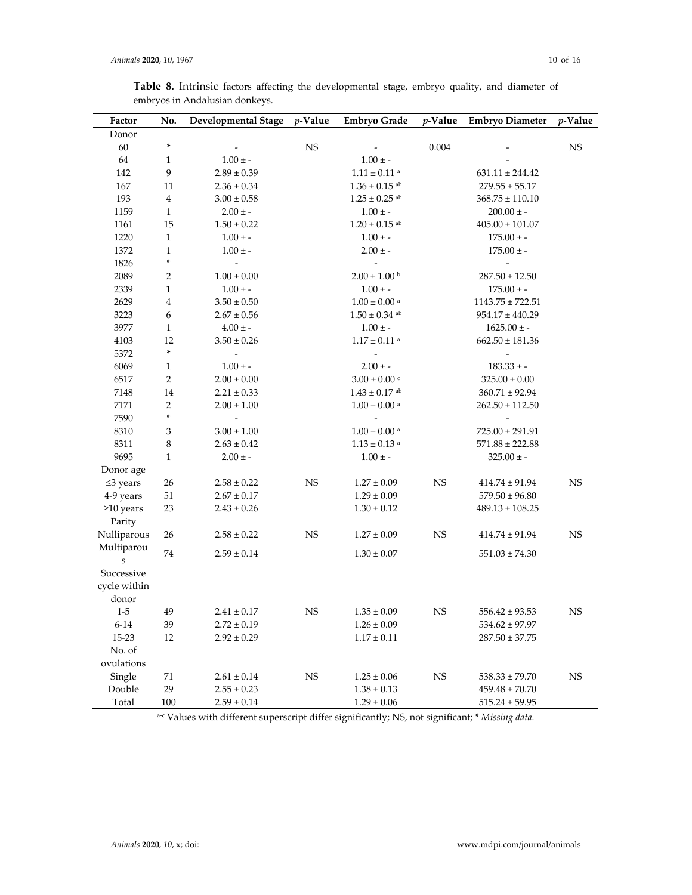| Factor                  | No.                     | <b>Developmental Stage</b>         | $p$ -Value  | <b>Embryo Grade</b>                | $p$ -Value  | <b>Embryo Diameter</b>                   | <i>v</i> -Value |
|-------------------------|-------------------------|------------------------------------|-------------|------------------------------------|-------------|------------------------------------------|-----------------|
| Donor                   |                         |                                    |             |                                    |             |                                          |                 |
| 60                      | *                       |                                    | $_{\rm NS}$ |                                    | 0.004       |                                          | <b>NS</b>       |
| 64                      | 1                       | $1.00 \pm -$                       |             | $1.00 \pm -$                       |             |                                          |                 |
| 142                     | 9                       | $2.89 \pm 0.39$                    |             | $1.11\pm0.11$ $^{\rm a}$           |             | $631.11 \pm 244.42$                      |                 |
| 167                     | 11                      | $2.36 \pm 0.34$                    |             | $1.36 \pm 0.15$ ab                 |             | $279.55 \pm 55.17$                       |                 |
| 193                     | $\overline{\mathbf{4}}$ | $3.00 \pm 0.58$                    |             | $1.25 \pm 0.25$ <sup>ab</sup>      |             | $368.75 \pm 110.10$                      |                 |
| 1159                    | 1                       | $2.00\,\pm$ -                      |             | $1.00 \pm -$                       |             | $200.00 \pm -$                           |                 |
| 1161                    | 15                      | $1.50 \pm 0.22$                    |             | $1.20 \pm 0.15$ <sup>ab</sup>      |             | $405.00 \pm 101.07$                      |                 |
| 1220                    | $\mathbf{1}$            | $1.00 \pm -$                       |             | $1.00 \pm -$                       |             | $175.00\pm$ -                            |                 |
| 1372                    | $\mathbf{1}$            | $1.00 \pm -$                       |             | $2.00 \pm -$                       |             | $175.00 \pm -$                           |                 |
| 1826                    | ×                       | $\bar{\phantom{a}}$                |             | $\blacksquare$                     |             | $\overline{\phantom{a}}$                 |                 |
| 2089                    | $\overline{2}$          | $1.00 \pm 0.00$                    |             | $2.00 \pm 1.00$ b                  |             | $287.50 \pm 12.50$                       |                 |
| 2339                    | $\mathbf{1}$            | $1.00 \pm -$                       |             | $1.00 \pm -$                       |             | $175.00 \pm -$                           |                 |
| 2629                    | $\overline{\mathbf{4}}$ | $3.50 \pm 0.50$                    |             | $1.00 \pm 0.00$ <sup>a</sup>       |             | $1143.75 \pm 722.51$                     |                 |
| 3223                    | 6                       | $2.67\pm0.56$                      |             | $1.50 \pm 0.34$ ab                 |             | $954.17 \pm 440.29$                      |                 |
| 3977                    | 1                       | $4.00 \pm -$                       |             | $1.00 \pm -$                       |             | $1625.00 \pm$ -                          |                 |
| 4103                    | 12                      | $3.50 \pm 0.26$                    |             | $1.17 \pm 0.11$ <sup>a</sup>       |             | $662.50 \pm 181.36$                      |                 |
| 5372                    | *                       | $\blacksquare$                     |             |                                    |             | $\frac{1}{2}$                            |                 |
| 6069                    | 1                       | $1.00 \pm -$                       |             | $2.00 \pm -$                       |             | $183.33 \pm -$                           |                 |
| 6517                    | $\sqrt{2}$              | $2.00 \pm 0.00$                    |             | $3.00 \pm 0.00$ c                  |             | $325.00 \pm 0.00$                        |                 |
| 7148                    | 14                      | $2.21 \pm 0.33$                    |             | $1.43 \pm 0.17$ ab                 |             | $360.71 \pm 92.94$                       |                 |
| 7171                    | 2                       | $2.00 \pm 1.00$                    |             | $1.00 \pm 0.00$ a                  |             | $262.50 \pm 112.50$                      |                 |
| 7590                    | *                       | $\blacksquare$                     |             | $\overline{\phantom{a}}$           |             |                                          |                 |
| 8310                    | 3                       | $3.00 \pm 1.00$                    |             | $1.00\pm0.00$ a                    |             | $725.00 \pm 291.91$                      |                 |
| 8311                    | 8                       | $2.63 \pm 0.42$                    |             | $1.13\pm0.13$ a                    |             | $571.88 \pm 222.88$                      |                 |
| 9695                    | $\mathbf{1}$            | $2.00 \pm -$                       |             | $1.00 \pm -$                       |             | $325.00 \pm -$                           |                 |
| Donor age               |                         |                                    |             |                                    |             |                                          |                 |
| $\leq$ 3 years          | 26                      | $2.58 \pm 0.22$                    | <b>NS</b>   | $1.27 \pm 0.09$                    | <b>NS</b>   | $414.74\pm91.94$                         | <b>NS</b>       |
| 4-9 years               | $51\,$                  | $2.67 \pm 0.17$                    |             | $1.29\pm0.09$                      |             | $579.50 \pm 96.80$                       |                 |
| $\geq$ 10 years         | 23                      | $2.43 \pm 0.26$                    |             | $1.30 \pm 0.12$                    |             | $489.13 \pm 108.25$                      |                 |
| Parity                  |                         |                                    |             |                                    |             |                                          |                 |
| Nulliparous             | 26                      | $2.58 \pm 0.22$                    | <b>NS</b>   | $1.27 \pm 0.09$                    | <b>NS</b>   | $414.74 \pm 91.94$                       | <b>NS</b>       |
| Multiparou              | 74                      | $2.59 \pm 0.14$                    |             | $1.30 \pm 0.07$                    |             | $551.03 \pm 74.30$                       |                 |
| ${\bf S}$<br>Successive |                         |                                    |             |                                    |             |                                          |                 |
| cycle within            |                         |                                    |             |                                    |             |                                          |                 |
| donor                   |                         |                                    |             |                                    |             |                                          |                 |
|                         | 49                      |                                    |             |                                    | $_{\rm NS}$ |                                          |                 |
| $1-5$<br>$6 - 14$       | 39                      | $2.41 \pm 0.17$<br>$2.72 \pm 0.19$ | <b>NS</b>   | $1.35 \pm 0.09$<br>$1.26 \pm 0.09$ |             | $556.42 \pm 93.53$<br>$534.62 \pm 97.97$ | <b>NS</b>       |
| 15-23                   | 12                      | $2.92 \pm 0.29$                    |             | $1.17\pm0.11$                      |             | $287.50 \pm 37.75$                       |                 |
| No. of                  |                         |                                    |             |                                    |             |                                          |                 |
| ovulations              |                         |                                    |             |                                    |             |                                          |                 |
| Single                  | $71\,$                  | $2.61 \pm 0.14$                    | $_{\rm NS}$ | $1.25 \pm 0.06$                    | $_{\rm NS}$ | $538.33 \pm 79.70$                       | $_{\rm NS}$     |
| Double                  | 29                      | $2.55 \pm 0.23$                    |             | $1.38 \pm 0.13$                    |             | $459.48 \pm 70.70$                       |                 |
| Total                   | $100\,$                 | $2.59 \pm 0.14$                    |             | $1.29 \pm 0.06$                    |             | $515.24 \pm 59.95$                       |                 |
|                         |                         |                                    |             |                                    |             |                                          |                 |

**Table 8.** Intrinsic factors affecting the developmental stage, embryo quality, and diameter of embryos in Andalusian donkeys.

<sup>a</sup>‐<sup>c</sup> Values with different superscript differ significantly; NS, not significant; *\* Missing data.*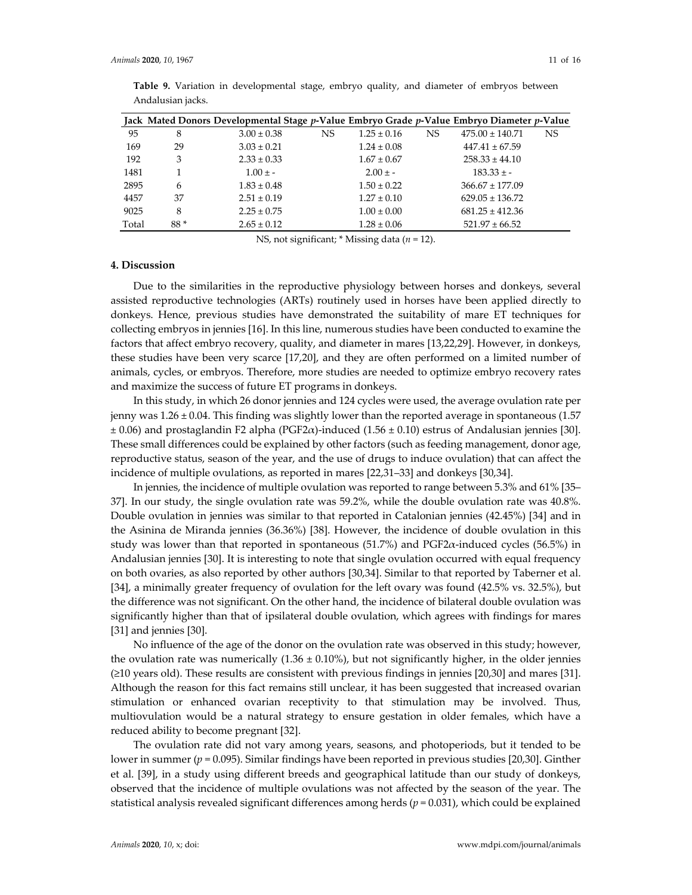|       |     | Jack Mated Donors Developmental Stage p-Value Embryo Grade p-Value Embryo Diameter p-Value |    |                 |     |                     |     |
|-------|-----|--------------------------------------------------------------------------------------------|----|-----------------|-----|---------------------|-----|
| 95    | 8   | $3.00 \pm 0.38$                                                                            | NS | $1.25 \pm 0.16$ | NS. | $475.00 \pm 140.71$ | NS. |
| 169   | 29  | $3.03 \pm 0.21$                                                                            |    | $1.24 \pm 0.08$ |     | $447.41 \pm 67.59$  |     |
| 192   | 3   | $2.33 \pm 0.33$                                                                            |    | $1.67 \pm 0.67$ |     | $258.33 \pm 44.10$  |     |
| 1481  |     | $1.00 \pm -$                                                                               |    | $2.00 \pm -$    |     | $183.33 \pm -$      |     |
| 2895  | 6   | $1.83 \pm 0.48$                                                                            |    | $1.50 \pm 0.22$ |     | $366.67 \pm 177.09$ |     |
| 4457  | 37  | $2.51 \pm 0.19$                                                                            |    | $1.27 \pm 0.10$ |     | $629.05 \pm 136.72$ |     |
| 9025  | 8   | $2.25 \pm 0.75$                                                                            |    | $1.00 \pm 0.00$ |     | $681.25 \pm 412.36$ |     |
| Total | 88* | $2.65 \pm 0.12$                                                                            |    | $1.28 \pm 0.06$ |     | $521.97 \pm 66.52$  |     |

**Table 9.** Variation in developmental stage, embryo quality, and diameter of embryos between Andalusian jacks.

NS, not significant; \* Missing data (*n* = 12).

#### **4. Discussion**

Due to the similarities in the reproductive physiology between horses and donkeys, several assisted reproductive technologies (ARTs) routinely used in horses have been applied directly to donkeys. Hence, previous studies have demonstrated the suitability of mare ET techniques for collecting embryos in jennies [16]. In this line, numerous studies have been conducted to examine the factors that affect embryo recovery, quality, and diameter in mares [13,22,29]. However, in donkeys, these studies have been very scarce [17,20], and they are often performed on a limited number of animals, cycles, or embryos. Therefore, more studies are needed to optimize embryo recovery rates and maximize the success of future ET programs in donkeys.

In this study, in which 26 donor jennies and 124 cycles were used, the average ovulation rate per jenny was 1.26 ± 0.04. This finding was slightly lower than the reported average in spontaneous (1.57  $\pm$  0.06) and prostaglandin F2 alpha (PGF2 $\alpha$ )-induced (1.56  $\pm$  0.10) estrus of Andalusian jennies [30]. These small differences could be explained by other factors (such as feeding management, donor age, reproductive status, season of the year, and the use of drugs to induce ovulation) that can affect the incidence of multiple ovulations, as reported in mares [22,31–33] and donkeys [30,34].

In jennies, the incidence of multiple ovulation was reported to range between 5.3% and 61% [35– 37]. In our study, the single ovulation rate was 59.2%, while the double ovulation rate was 40.8%. Double ovulation in jennies was similar to that reported in Catalonian jennies (42.45%) [34] and in the Asinina de Miranda jennies (36.36%) [38]. However, the incidence of double ovulation in this study was lower than that reported in spontaneous (51.7%) and PGF2 $\alpha$ -induced cycles (56.5%) in Andalusian jennies [30]. It is interesting to note that single ovulation occurred with equal frequency on both ovaries, as also reported by other authors [30,34]. Similar to that reported by Taberner et al. [34], a minimally greater frequency of ovulation for the left ovary was found (42.5% vs. 32.5%), but the difference was not significant. On the other hand, the incidence of bilateral double ovulation was significantly higher than that of ipsilateral double ovulation, which agrees with findings for mares [31] and jennies [30].

No influence of the age of the donor on the ovulation rate was observed in this study; however, the ovulation rate was numerically  $(1.36 \pm 0.10\%)$ , but not significantly higher, in the older jennies (≥10 years old). These results are consistent with previous findings in jennies [20,30] and mares [31]. Although the reason for this fact remains still unclear, it has been suggested that increased ovarian stimulation or enhanced ovarian receptivity to that stimulation may be involved. Thus, multiovulation would be a natural strategy to ensure gestation in older females, which have a reduced ability to become pregnant [32].

The ovulation rate did not vary among years, seasons, and photoperiods, but it tended to be lower in summer (*p* = 0.095). Similar findings have been reported in previous studies [20,30]. Ginther et al. [39], in a study using different breeds and geographical latitude than our study of donkeys, observed that the incidence of multiple ovulations was not affected by the season of the year. The statistical analysis revealed significant differences among herds (*p* = 0.031), which could be explained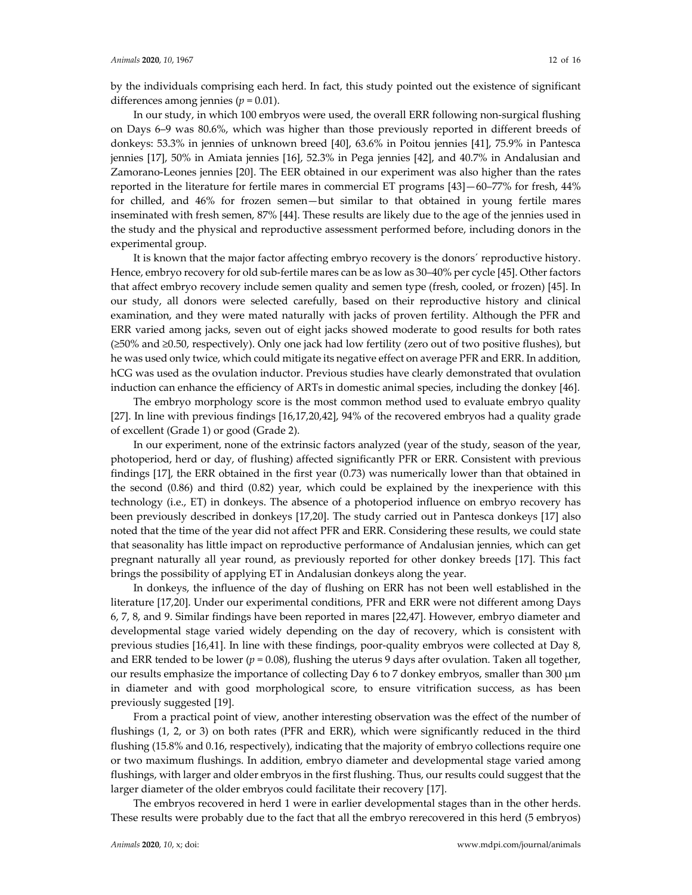by the individuals comprising each herd. In fact, this study pointed out the existence of significant differences among jennies (*p* = 0.01).

In our study, in which 100 embryos were used, the overall ERR following non‐surgical flushing on Days 6–9 was 80.6%, which was higher than those previously reported in different breeds of donkeys: 53.3% in jennies of unknown breed [40], 63.6% in Poitou jennies [41], 75.9% in Pantesca jennies [17], 50% in Amiata jennies [16], 52.3% in Pega jennies [42], and 40.7% in Andalusian and Zamorano‐Leones jennies [20]. The EER obtained in our experiment was also higher than the rates reported in the literature for fertile mares in commercial ET programs [43]—60–77% for fresh, 44% for chilled, and 46% for frozen semen—but similar to that obtained in young fertile mares inseminated with fresh semen, 87% [44]. These results are likely due to the age of the jennies used in the study and the physical and reproductive assessment performed before, including donors in the experimental group.

It is known that the major factor affecting embryo recovery is the donors´ reproductive history. Hence, embryo recovery for old sub-fertile mares can be as low as 30–40% per cycle [45]. Other factors that affect embryo recovery include semen quality and semen type (fresh, cooled, or frozen) [45]. In our study, all donors were selected carefully, based on their reproductive history and clinical examination, and they were mated naturally with jacks of proven fertility. Although the PFR and ERR varied among jacks, seven out of eight jacks showed moderate to good results for both rates (≥50% and ≥0.50, respectively). Only one jack had low fertility (zero out of two positive flushes), but he was used only twice, which could mitigate its negative effect on average PFR and ERR. In addition, hCG was used as the ovulation inductor. Previous studies have clearly demonstrated that ovulation induction can enhance the efficiency of ARTs in domestic animal species, including the donkey [46].

The embryo morphology score is the most common method used to evaluate embryo quality [27]. In line with previous findings [16,17,20,42], 94% of the recovered embryos had a quality grade of excellent (Grade 1) or good (Grade 2).

In our experiment, none of the extrinsic factors analyzed (year of the study, season of the year, photoperiod, herd or day, of flushing) affected significantly PFR or ERR. Consistent with previous findings [17], the ERR obtained in the first year (0.73) was numerically lower than that obtained in the second (0.86) and third (0.82) year, which could be explained by the inexperience with this technology (i.e., ET) in donkeys. The absence of a photoperiod influence on embryo recovery has been previously described in donkeys [17,20]. The study carried out in Pantesca donkeys [17] also noted that the time of the year did not affect PFR and ERR. Considering these results, we could state that seasonality has little impact on reproductive performance of Andalusian jennies, which can get pregnant naturally all year round, as previously reported for other donkey breeds [17]. This fact brings the possibility of applying ET in Andalusian donkeys along the year.

In donkeys, the influence of the day of flushing on ERR has not been well established in the literature [17,20]. Under our experimental conditions, PFR and ERR were not different among Days 6, 7, 8, and 9. Similar findings have been reported in mares [22,47]. However, embryo diameter and developmental stage varied widely depending on the day of recovery, which is consistent with previous studies [16,41]. In line with these findings, poor-quality embryos were collected at Day 8, and ERR tended to be lower ( $p = 0.08$ ), flushing the uterus 9 days after ovulation. Taken all together, our results emphasize the importance of collecting Day 6 to 7 donkey embryos, smaller than 300 μm in diameter and with good morphological score, to ensure vitrification success, as has been previously suggested [19].

From a practical point of view, another interesting observation was the effect of the number of flushings (1, 2, or 3) on both rates (PFR and ERR), which were significantly reduced in the third flushing (15.8% and 0.16, respectively), indicating that the majority of embryo collections require one or two maximum flushings. In addition, embryo diameter and developmental stage varied among flushings, with larger and older embryos in the first flushing. Thus, our results could suggest that the larger diameter of the older embryos could facilitate their recovery [17].

The embryos recovered in herd 1 were in earlier developmental stages than in the other herds. These results were probably due to the fact that all the embryo rerecovered in this herd (5 embryos)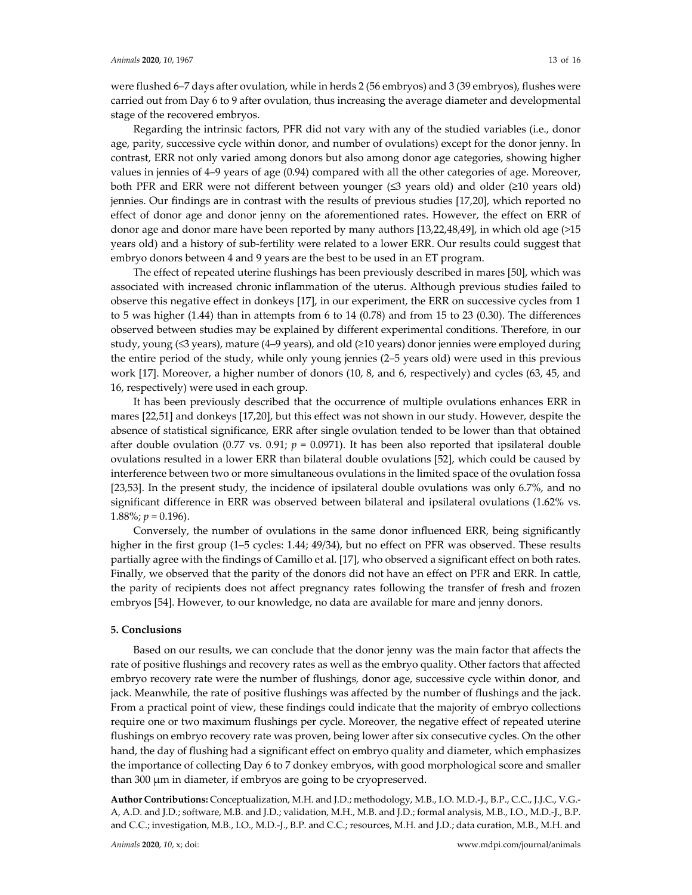were flushed 6–7 days after ovulation, while in herds 2 (56 embryos) and 3 (39 embryos), flushes were carried out from Day 6 to 9 after ovulation, thus increasing the average diameter and developmental stage of the recovered embryos.

Regarding the intrinsic factors, PFR did not vary with any of the studied variables (i.e., donor age, parity, successive cycle within donor, and number of ovulations) except for the donor jenny. In contrast, ERR not only varied among donors but also among donor age categories, showing higher values in jennies of 4–9 years of age (0.94) compared with all the other categories of age. Moreover, both PFR and ERR were not different between younger (≤3 years old) and older (≥10 years old) jennies. Our findings are in contrast with the results of previous studies [17,20], which reported no effect of donor age and donor jenny on the aforementioned rates. However, the effect on ERR of donor age and donor mare have been reported by many authors [13,22,48,49], in which old age (>15 years old) and a history of sub‐fertility were related to a lower ERR. Our results could suggest that embryo donors between 4 and 9 years are the best to be used in an ET program.

The effect of repeated uterine flushings has been previously described in mares [50], which was associated with increased chronic inflammation of the uterus. Although previous studies failed to observe this negative effect in donkeys [17], in our experiment, the ERR on successive cycles from 1 to 5 was higher (1.44) than in attempts from 6 to 14 (0.78) and from 15 to 23 (0.30). The differences observed between studies may be explained by different experimental conditions. Therefore, in our study, young (≤3 years), mature (4–9 years), and old (≥10 years) donor jennies were employed during the entire period of the study, while only young jennies (2–5 years old) were used in this previous work [17]. Moreover, a higher number of donors (10, 8, and 6, respectively) and cycles (63, 45, and 16, respectively) were used in each group.

It has been previously described that the occurrence of multiple ovulations enhances ERR in mares [22,51] and donkeys [17,20], but this effect was not shown in our study. However, despite the absence of statistical significance, ERR after single ovulation tended to be lower than that obtained after double ovulation (0.77 vs. 0.91;  $p = 0.0971$ ). It has been also reported that ipsilateral double ovulations resulted in a lower ERR than bilateral double ovulations [52], which could be caused by interference between two or more simultaneous ovulations in the limited space of the ovulation fossa [23,53]. In the present study, the incidence of ipsilateral double ovulations was only 6.7%, and no significant difference in ERR was observed between bilateral and ipsilateral ovulations (1.62% vs. 1.88%;  $p = 0.196$ ).

Conversely, the number of ovulations in the same donor influenced ERR, being significantly higher in the first group (1–5 cycles: 1.44; 49/34), but no effect on PFR was observed. These results partially agree with the findings of Camillo et al. [17], who observed a significant effect on both rates. Finally, we observed that the parity of the donors did not have an effect on PFR and ERR. In cattle, the parity of recipients does not affect pregnancy rates following the transfer of fresh and frozen embryos [54]. However, to our knowledge, no data are available for mare and jenny donors.

#### **5. Conclusions**

Based on our results, we can conclude that the donor jenny was the main factor that affects the rate of positive flushings and recovery rates as well as the embryo quality. Other factors that affected embryo recovery rate were the number of flushings, donor age, successive cycle within donor, and jack. Meanwhile, the rate of positive flushings was affected by the number of flushings and the jack. From a practical point of view, these findings could indicate that the majority of embryo collections require one or two maximum flushings per cycle. Moreover, the negative effect of repeated uterine flushings on embryo recovery rate was proven, being lower after six consecutive cycles. On the other hand, the day of flushing had a significant effect on embryo quality and diameter, which emphasizes the importance of collecting Day 6 to 7 donkey embryos, with good morphological score and smaller than 300 μm in diameter, if embryos are going to be cryopreserved.

**Author Contributions:** Conceptualization, M.H. and J.D.; methodology, M.B., I.O. M.D.‐J., B.P., C.C., J.J.C., V.G.‐ A, A.D. and J.D.; software, M.B. and J.D.; validation, M.H., M.B. and J.D.; formal analysis, M.B., I.O., M.D.‐J., B.P. and C.C.; investigation, M.B., I.O., M.D.-J., B.P. and C.C.; resources, M.H. and J.D.; data curation, M.B., M.H. and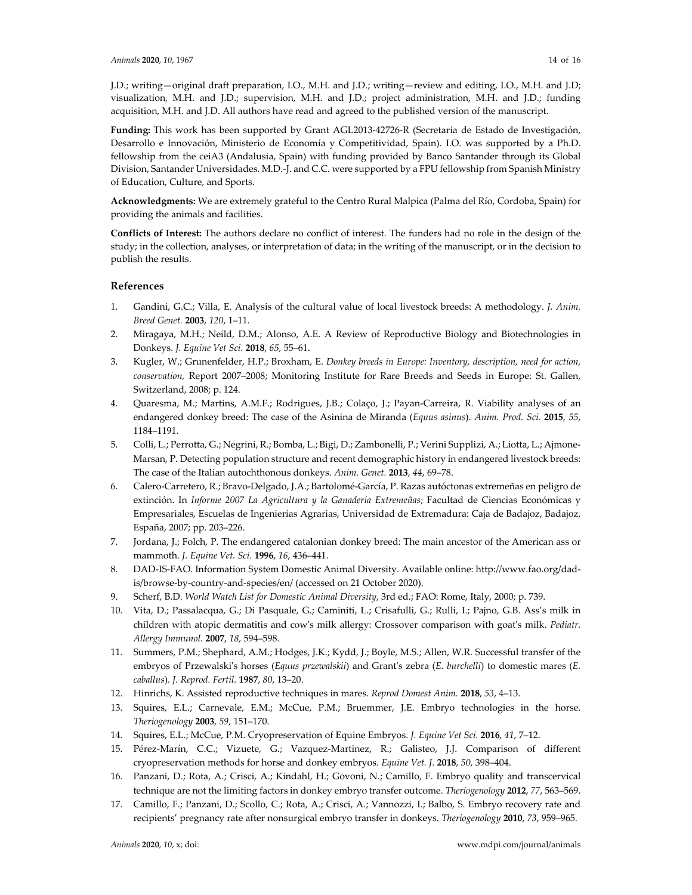J.D.; writing—original draft preparation, I.O., M.H. and J.D.; writing—review and editing, I.O., M.H. and J.D; visualization, M.H. and J.D.; supervision, M.H. and J.D.; project administration, M.H. and J.D.; funding acquisition, M.H. and J.D. All authors have read and agreed to the published version of the manuscript.

**Funding:** This work has been supported by Grant AGL2013‐42726‐R (Secretaría de Estado de Investigación, Desarrollo e Innovación, Ministerio de Economía y Competitividad, Spain). I.O. was supported by a Ph.D. fellowship from the ceiA3 (Andalusia, Spain) with funding provided by Banco Santander through its Global Division, Santander Universidades. M.D.‐J. and C.C. were supported by a FPU fellowship from Spanish Ministry of Education, Culture, and Sports.

**Acknowledgments:** We are extremely grateful to the Centro Rural Malpica (Palma del Río, Cordoba, Spain) for providing the animals and facilities.

**Conflicts of Interest:** The authors declare no conflict of interest. The funders had no role in the design of the study; in the collection, analyses, or interpretation of data; in the writing of the manuscript, or in the decision to publish the results.

## **References**

- 1. Gandini, G.C.; Villa, E. Analysis of the cultural value of local livestock breeds: A methodology. *J. Anim. Breed Genet.* **2003**, *120*, 1–11.
- 2. Miragaya, M.H.; Neild, D.M.; Alonso, A.E. A Review of Reproductive Biology and Biotechnologies in Donkeys. *J. Equine Vet Sci.* **2018**, *65*, 55–61.
- 3. Kugler, W.; Grunenfelder, H.P.; Broxham, E. *Donkey breeds in Europe: Inventory, description, need for action, conservation,* Report 2007–2008; Monitoring Institute for Rare Breeds and Seeds in Europe: St. Gallen, Switzerland, 2008; p. 124.
- 4. Quaresma, M.; Martins, A.M.F.; Rodrigues, J.B.; Colaço, J.; Payan‐Carreira, R. Viability analyses of an endangered donkey breed: The case of the Asinina de Miranda (*Equus asinus*). *Anim. Prod. Sci.* **2015**, *55*, 1184–1191.
- 5. Colli, L.; Perrotta, G.; Negrini, R.; Bomba, L.; Bigi, D.; Zambonelli, P.; Verini Supplizi, A.; Liotta, L.; Ajmone‐ Marsan, P. Detecting population structure and recent demographic history in endangered livestock breeds: The case of the Italian autochthonous donkeys. *Anim. Genet.* **2013**, *44*, 69–78.
- 6. Calero‐Carretero, R.; Bravo‐Delgado, J.A.; Bartolomé‐García, P. Razas autóctonas extremeñas en peligro de extinción. In *Informe 2007 La Agricultura y la Ganadería Extremeñas*; Facultad de Ciencias Económicas y Empresariales, Escuelas de Ingenierías Agrarias, Universidad de Extremadura: Caja de Badajoz, Badajoz, España, 2007; pp. 203–226.
- 7. Jordana, J.; Folch, P. The endangered catalonian donkey breed: The main ancestor of the American ass or mammoth. *J. Equine Vet. Sci.* **1996**, *16*, 436–441.
- 8. DAD‐IS‐FAO. Information System Domestic Animal Diversity. Available online: http://www.fao.org/dad‐ is/browse‐by‐country‐and‐species/en/ (accessed on 21 October 2020).
- 9. Scherf, B.D. *World Watch List for Domestic Animal Diversity*, 3rd ed.; FAO: Rome, Italy, 2000; p. 739.
- 10. Vita, D.; Passalacqua, G.; Di Pasquale, G.; Caminiti, L.; Crisafulli, G.; Rulli, I.; Pajno, G.B. Ass's milk in children with atopic dermatitis and cowʹs milk allergy: Crossover comparison with goatʹs milk. *Pediatr. Allergy Immunol.* **2007**, *18*, 594–598.
- 11. Summers, P.M.; Shephard, A.M.; Hodges, J.K.; Kydd, J.; Boyle, M.S.; Allen, W.R. Successful transfer of the embryos of Przewalskiʹs horses (*Equus przewalskii*) and Grantʹs zebra (*E. burchelli*) to domestic mares (*E. caballus*). *J. Reprod. Fertil.* **1987**, *80*, 13–20.
- 12. Hinrichs, K. Assisted reproductive techniques in mares. *Reprod Domest Anim.* **2018**, *53*, 4–13.
- 13. Squires, E.L.; Carnevale, E.M.; McCue, P.M.; Bruemmer, J.E. Embryo technologies in the horse. *Theriogenology* **2003**, *59*, 151–170.
- 14. Squires, E.L.; McCue, P.M. Cryopreservation of Equine Embryos. *J. Equine Vet Sci.* **2016**, *41*, 7–12.
- 15. Pérez‐Marín, C.C.; Vizuete, G.; Vazquez‐Martinez, R.; Galisteo, J.J. Comparison of different cryopreservation methods for horse and donkey embryos. *Equine Vet. J.* **2018**, *50*, 398–404.
- 16. Panzani, D.; Rota, A.; Crisci, A.; Kindahl, H.; Govoni, N.; Camillo, F. Embryo quality and transcervical technique are not the limiting factors in donkey embryo transfer outcome. *Theriogenology* **2012**, *77*, 563–569.
- 17. Camillo, F.; Panzani, D.; Scollo, C.; Rota, A.; Crisci, A.; Vannozzi, I.; Balbo, S. Embryo recovery rate and recipients' pregnancy rate after nonsurgical embryo transfer in donkeys. *Theriogenology* **2010**, *73*, 959–965.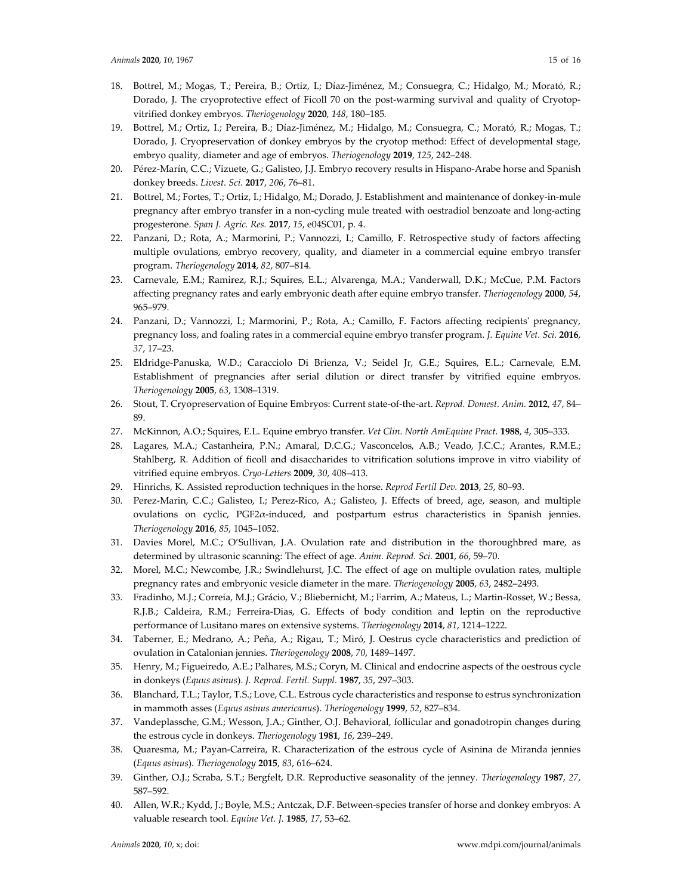- 18. Bottrel, M.; Mogas, T.; Pereira, B.; Ortiz, I.; Díaz‐Jiménez, M.; Consuegra, C.; Hidalgo, M.; Morató, R.; Dorado, J. The cryoprotective effect of Ficoll 70 on the post-warming survival and quality of Cryotopvitrified donkey embryos. *Theriogenology* **2020**, *148*, 180–185.
- 19. Bottrel, M.; Ortiz, I.; Pereira, B.; Díaz‐Jiménez, M.; Hidalgo, M.; Consuegra, C.; Morató, R.; Mogas, T.; Dorado, J. Cryopreservation of donkey embryos by the cryotop method: Effect of developmental stage, embryo quality, diameter and age of embryos. *Theriogenology* **2019**, *125*, 242–248.
- 20. Pérez‐Marín, C.C.; Vizuete, G.; Galisteo, J.J. Embryo recovery results in Hispano‐Arabe horse and Spanish donkey breeds. *Livest. Sci.* **2017**, *206*, 76–81.
- 21. Bottrel, M.; Fortes, T.; Ortiz, I.; Hidalgo, M.; Dorado, J. Establishment and maintenance of donkey‐in‐mule pregnancy after embryo transfer in a non‐cycling mule treated with oestradiol benzoate and long‐acting progesterone. *Span J. Agric. Res.* **2017**, *15*, e04SC01, p. 4.
- 22. Panzani, D.; Rota, A.; Marmorini, P.; Vannozzi, I.; Camillo, F. Retrospective study of factors affecting multiple ovulations, embryo recovery, quality, and diameter in a commercial equine embryo transfer program. *Theriogenology* **2014**, *82*, 807–814.
- 23. Carnevale, E.M.; Ramirez, R.J.; Squires, E.L.; Alvarenga, M.A.; Vanderwall, D.K.; McCue, P.M. Factors affecting pregnancy rates and early embryonic death after equine embryo transfer. *Theriogenology* **2000**, *54*, 965–979.
- 24. Panzani, D.; Vannozzi, I.; Marmorini, P.; Rota, A.; Camillo, F. Factors affecting recipients' pregnancy, pregnancy loss, and foaling rates in a commercial equine embryo transfer program. *J. Equine Vet. Sci.* **2016**, *37*, 17–23.
- 25. Eldridge‐Panuska, W.D.; Caracciolo Di Brienza, V.; Seidel Jr, G.E.; Squires, E.L.; Carnevale, E.M. Establishment of pregnancies after serial dilution or direct transfer by vitrified equine embryos. *Theriogenology* **2005**, *63*, 1308–1319.
- 26. Stout, T. Cryopreservation of Equine Embryos: Current state‐of‐the‐art. *Reprod. Domest. Anim.* **2012**, *47*, 84– 89.
- 27. McKinnon, A.O.; Squires, E.L. Equine embryo transfer. *Vet Clin. North AmEquine Pract.* **1988**, *4*, 305–333.
- 28. Lagares, M.A.; Castanheira, P.N.; Amaral, D.C.G.; Vasconcelos, A.B.; Veado, J.C.C.; Arantes, R.M.E.; Stahlberg, R. Addition of ficoll and disaccharides to vitrification solutions improve in vitro viability of vitrified equine embryos. *Cryo‐Letters* **2009**, *30*, 408–413.
- 29. Hinrichs, K. Assisted reproduction techniques in the horse. *Reprod Fertil Dev.* **2013**, *25*, 80–93.
- 30. Perez‐Marin, C.C.; Galisteo, I.; Perez‐Rico, A.; Galisteo, J. Effects of breed, age, season, and multiple ovulations on cyclic, PGF2α‐induced, and postpartum estrus characteristics in Spanish jennies. *Theriogenology* **2016**, *85*, 1045–1052.
- 31. Davies Morel, M.C.; O'Sullivan, J.A. Ovulation rate and distribution in the thoroughbred mare, as determined by ultrasonic scanning: The effect of age. *Anim. Reprod. Sci.* **2001**, *66*, 59–70.
- 32. Morel, M.C.; Newcombe, J.R.; Swindlehurst, J.C. The effect of age on multiple ovulation rates, multiple pregnancy rates and embryonic vesicle diameter in the mare. *Theriogenology* **2005**, *63*, 2482–2493.
- 33. Fradinho, M.J.; Correia, M.J.; Grácio, V.; Bliebernicht, M.; Farrim, A.; Mateus, L.; Martin‐Rosset, W.; Bessa, R.J.B.; Caldeira, R.M.; Ferreira‐Dias, G. Effects of body condition and leptin on the reproductive performance of Lusitano mares on extensive systems. *Theriogenology* **2014**, *81*, 1214–1222.
- 34. Taberner, E.; Medrano, A.; Peña, A.; Rigau, T.; Miró, J. Oestrus cycle characteristics and prediction of ovulation in Catalonian jennies. *Theriogenology* **2008**, *70*, 1489–1497.
- 35. Henry, M.; Figueiredo, A.E.; Palhares, M.S.; Coryn, M. Clinical and endocrine aspects of the oestrous cycle in donkeys (*Equus asinus*). *J. Reprod. Fertil. Suppl.* **1987**, *35*, 297–303.
- 36. Blanchard, T.L.; Taylor, T.S.; Love, C.L. Estrous cycle characteristics and response to estrus synchronization in mammoth asses (*Equus asinus americanus*). *Theriogenology* **1999**, *52*, 827–834.
- 37. Vandeplassche, G.M.; Wesson, J.A.; Ginther, O.J. Behavioral, follicular and gonadotropin changes during the estrous cycle in donkeys. *Theriogenology* **1981**, *16*, 239–249.
- 38. Quaresma, M.; Payan‐Carreira, R. Characterization of the estrous cycle of Asinina de Miranda jennies (*Equus asinus*). *Theriogenology* **2015**, *83*, 616–624.
- 39. Ginther, O.J.; Scraba, S.T.; Bergfelt, D.R. Reproductive seasonality of the jenney. *Theriogenology* **1987**, *27*, 587–592.
- 40. Allen, W.R.; Kydd, J.; Boyle, M.S.; Antczak, D.F. Between‐species transfer of horse and donkey embryos: A valuable research tool. *Equine Vet. J.* **1985**, *17*, 53–62.